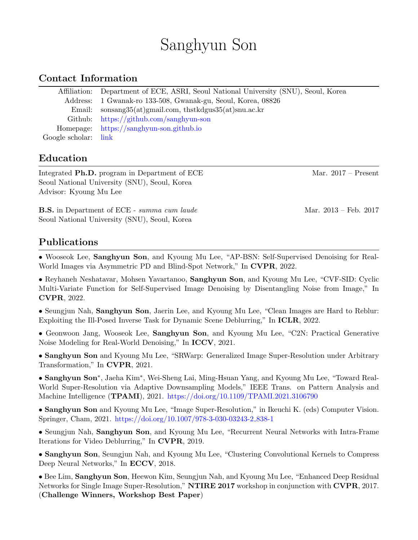# Sanghyun Son

## Contact Information

|                      | Affiliation: Department of ECE, ASRI, Seoul National University (SNU), Seoul, Korea |
|----------------------|-------------------------------------------------------------------------------------|
|                      | Address: 1 Gwanak-ro 133-508, Gwanak-gu, Seoul, Korea, 08826                        |
|                      | Email: sonsang $35(at)$ gmail.com, thstkdgus $35(at)$ snu.ac.kr                     |
|                      | Github: $\frac{htps!}{\sqrt{gt}}$ https://github.com/sanghyun-son                   |
|                      | Homepage: https://sanghyun-son.github.io                                            |
| Google scholar: link |                                                                                     |

# Education

Integrated **Ph.D.** program in Department of ECE Mar. 2017 – Present Seoul National University (SNU), Seoul, Korea Advisor: Kyoung Mu Lee

**B.S.** in Department of ECE - summa cum laude Mar. 2013 – Feb. 2017 Seoul National University (SNU), Seoul, Korea

#### Publications

• Wooseok Lee, Sanghyun Son, and Kyoung Mu Lee, "AP-BSN: Self-Supervised Denoising for Real-World Images via Asymmetric PD and Blind-Spot Network," In CVPR, 2022.

• Reyhaneh Neshatavar, Mohsen Yavartanoo, Sanghyun Son, and Kyoung Mu Lee, "CVF-SID: Cyclic Multi-Variate Function for Self-Supervised Image Denoising by Disentangling Noise from Image," In CVPR, 2022.

• Seungjun Nah, Sanghyun Son, Jaerin Lee, and Kyoung Mu Lee, "Clean Images are Hard to Reblur: Exploiting the Ill-Posed Inverse Task for Dynamic Scene Deblurring," In ICLR, 2022.

• Geonwoon Jang, Wooseok Lee, Sanghyun Son, and Kyoung Mu Lee, "C2N: Practical Generative Noise Modeling for Real-World Denoising," In ICCV, 2021.

• Sanghyun Son and Kyoung Mu Lee, "SRWarp: Generalized Image Super-Resolution under Arbitrary Transformation," In CVPR, 2021.

• Sanghyun Son<sup>∗</sup> , Jaeha Kim<sup>∗</sup> , Wei-Sheng Lai, Ming-Hsuan Yang, and Kyoung Mu Lee, "Toward Real-World Super-Resolution via Adaptive Downsampling Models," IEEE Trans. on Pattern Analysis and Machine Intelligence (TPAMI), 2021. <https://doi.org/10.1109/TPAMI.2021.3106790>

• Sanghyun Son and Kyoung Mu Lee, "Image Super-Resolution," in Ikeuchi K. (eds) Computer Vision. Springer, Cham, 2021. [https://doi.org/10.1007/978-3-030-03243-2](https://doi.org/10.1007/978-3-030-03243-2_838-1) 838-1

• Seungjun Nah, Sanghyun Son, and Kyoung Mu Lee, "Recurrent Neural Networks with Intra-Frame Iterations for Video Deblurring," In CVPR, 2019.

• Sanghyun Son, Seungjun Nah, and Kyoung Mu Lee, "Clustering Convolutional Kernels to Compress Deep Neural Networks," In ECCV, 2018.

• Bee Lim, Sanghyun Son, Heewon Kim, Seungjun Nah, and Kyoung Mu Lee, "Enhanced Deep Residual Networks for Single Image Super-Resolution," **NTIRE 2017** workshop in conjunction with **CVPR**, 2017. (Challenge Winners, Workshop Best Paper)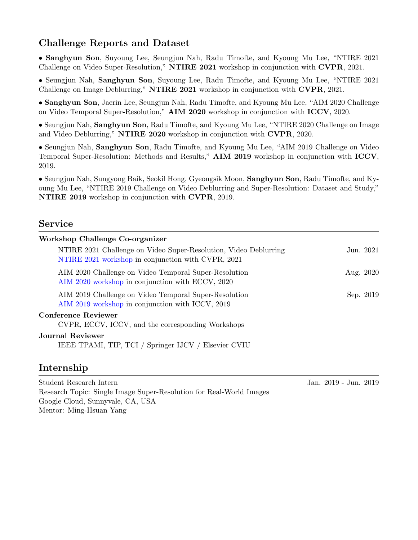# Challenge Reports and Dataset

• Sanghyun Son, Suyoung Lee, Seungjun Nah, Radu Timofte, and Kyoung Mu Lee, "NTIRE 2021 Challenge on Video Super-Resolution," NTIRE 2021 workshop in conjunction with CVPR, 2021.

• Seungjun Nah, Sanghyun Son, Suyoung Lee, Radu Timofte, and Kyoung Mu Lee, "NTIRE 2021 Challenge on Image Deblurring," NTIRE 2021 workshop in conjunction with CVPR, 2021.

• Sanghyun Son, Jaerin Lee, Seungjun Nah, Radu Timofte, and Kyoung Mu Lee, "AIM 2020 Challenge on Video Temporal Super-Resolution," AIM 2020 workshop in conjunction with ICCV, 2020.

• Seungjun Nah, Sanghyun Son, Radu Timofte, and Kyoung Mu Lee, "NTIRE 2020 Challenge on Image and Video Deblurring," NTIRE 2020 workshop in conjunction with CVPR, 2020.

• Seungjun Nah, Sanghyun Son, Radu Timofte, and Kyoung Mu Lee, "AIM 2019 Challenge on Video Temporal Super-Resolution: Methods and Results," AIM 2019 workshop in conjunction with ICCV, 2019.

• Seungjun Nah, Sungyong Baik, Seokil Hong, Gyeongsik Moon, Sanghyun Son, Radu Timofte, and Kyoung Mu Lee, "NTIRE 2019 Challenge on Video Deblurring and Super-Resolution: Dataset and Study," NTIRE 2019 workshop in conjunction with CVPR, 2019.

#### Service

| Workshop Challenge Co-organizer                                                                                        |           |
|------------------------------------------------------------------------------------------------------------------------|-----------|
| NTIRE 2021 Challenge on Video Super-Resolution, Video Deblurring<br>NTIRE 2021 workshop in conjunction with CVPR, 2021 | Jun. 2021 |
| AIM 2020 Challenge on Video Temporal Super-Resolution<br>AIM 2020 workshop in conjunction with ECCV, 2020              | Aug. 2020 |
| AIM 2019 Challenge on Video Temporal Super-Resolution<br>AIM 2019 workshop in conjunction with ICCV, 2019              | Sep. 2019 |
| <b>Conference Reviewer</b><br>CVPR, ECCV, ICCV, and the corresponding Workshops                                        |           |
| <b>Journal Reviewer</b><br>IEEE TPAMI, TIP, TCI / Springer IJCV / Elsevier CVIU                                        |           |

## Internship

Student Research Intern Jan. 2019 - Jun. 2019 Research Topic: Single Image Super-Resolution for Real-World Images Google Cloud, Sunnyvale, CA, USA Mentor: Ming-Hsuan Yang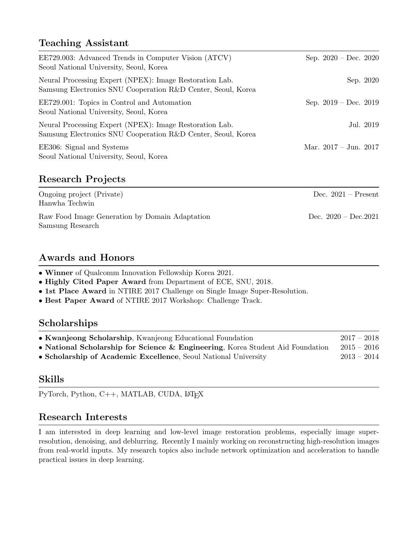# Teaching Assistant

| EE729.003: Advanced Trends in Computer Vision (ATCV)<br>Seoul National University, Seoul, Korea                         | Sep. $2020 - Dec. 2020$         |
|-------------------------------------------------------------------------------------------------------------------------|---------------------------------|
| Neural Processing Expert (NPEX): Image Restoration Lab.<br>Samsung Electronics SNU Cooperation R&D Center, Seoul, Korea | Sep. 2020                       |
| EE729.001: Topics in Control and Automation<br>Seoul National University, Seoul, Korea                                  | Sep. $2019 - Dec. 2019$         |
| Neural Processing Expert (NPEX): Image Restoration Lab.<br>Samsung Electronics SNU Cooperation R&D Center, Seoul, Korea | Jul. 2019                       |
| EE306: Signal and Systems<br>Seoul National University, Seoul, Korea                                                    | Mar. $2017 - \text{Jun. } 2017$ |

# Research Projects

| Ongoing project (Private)<br>Hanwha Techwin                        | Dec. $2021 -$ Present  |
|--------------------------------------------------------------------|------------------------|
| Raw Food Image Generation by Domain Adaptation<br>Samsung Research | Dec. $2020 - Dec.2021$ |

# Awards and Honors

• Winner of Qualcomm Innovation Fellowship Korea 2021.

- Highly Cited Paper Award from Department of ECE, SNU, 2018.
- 1st Place Award in NTIRE 2017 Challenge on Single Image Super-Resolution.
- Best Paper Award of NTIRE 2017 Workshop: Challenge Track.

#### Scholarships

| • Kwanjeong Scholarship, Kwanjeong Educational Foundation                      | $2017 - 2018$ |
|--------------------------------------------------------------------------------|---------------|
| • National Scholarship for Science & Engineering, Korea Student Aid Foundation | $2015-2016$   |
| • Scholarship of Academic Excellence, Seoul National University                | $2013 - 2014$ |

## Skills

PyTorch, Python, C++, MATLAB, CUDA, L<sup>AT</sup>FX

## Research Interests

I am interested in deep learning and low-level image restoration problems, especially image superresolution, denoising, and deblurring. Recently I mainly working on reconstructing high-resolution images from real-world inputs. My research topics also include network optimization and acceleration to handle practical issues in deep learning.